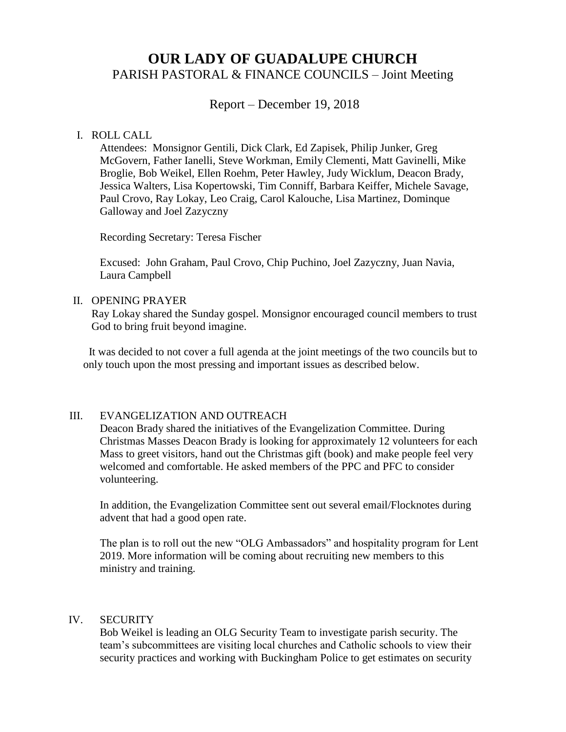# **OUR LADY OF GUADALUPE CHURCH** PARISH PASTORAL & FINANCE COUNCILS – Joint Meeting

Report – December 19, 2018

#### I. ROLL CALL

Attendees: Monsignor Gentili, Dick Clark, Ed Zapisek, Philip Junker, Greg McGovern, Father Ianelli, Steve Workman, Emily Clementi, Matt Gavinelli, Mike Broglie, Bob Weikel, Ellen Roehm, Peter Hawley, Judy Wicklum, Deacon Brady, Jessica Walters, Lisa Kopertowski, Tim Conniff, Barbara Keiffer, Michele Savage, Paul Crovo, Ray Lokay, Leo Craig, Carol Kalouche, Lisa Martinez, Dominque Galloway and Joel Zazyczny

Recording Secretary: Teresa Fischer

Excused: John Graham, Paul Crovo, Chip Puchino, Joel Zazyczny, Juan Navia, Laura Campbell

#### II. OPENING PRAYER

 Ray Lokay shared the Sunday gospel. Monsignor encouraged council members to trust God to bring fruit beyond imagine.

 It was decided to not cover a full agenda at the joint meetings of the two councils but to only touch upon the most pressing and important issues as described below.

#### III. EVANGELIZATION AND OUTREACH

Deacon Brady shared the initiatives of the Evangelization Committee. During Christmas Masses Deacon Brady is looking for approximately 12 volunteers for each Mass to greet visitors, hand out the Christmas gift (book) and make people feel very welcomed and comfortable. He asked members of the PPC and PFC to consider volunteering.

In addition, the Evangelization Committee sent out several email/Flocknotes during advent that had a good open rate.

The plan is to roll out the new "OLG Ambassadors" and hospitality program for Lent 2019. More information will be coming about recruiting new members to this ministry and training.

#### IV. SECURITY

Bob Weikel is leading an OLG Security Team to investigate parish security. The team's subcommittees are visiting local churches and Catholic schools to view their security practices and working with Buckingham Police to get estimates on security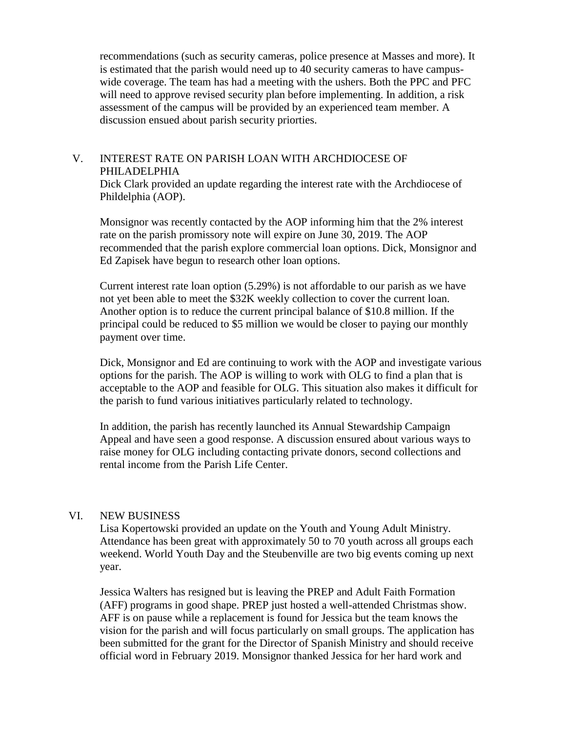recommendations (such as security cameras, police presence at Masses and more). It is estimated that the parish would need up to 40 security cameras to have campuswide coverage. The team has had a meeting with the ushers. Both the PPC and PFC will need to approve revised security plan before implementing. In addition, a risk assessment of the campus will be provided by an experienced team member. A discussion ensued about parish security priorties.

### V. INTEREST RATE ON PARISH LOAN WITH ARCHDIOCESE OF PHILADELPHIA

Dick Clark provided an update regarding the interest rate with the Archdiocese of Phildelphia (AOP).

Monsignor was recently contacted by the AOP informing him that the 2% interest rate on the parish promissory note will expire on June 30, 2019. The AOP recommended that the parish explore commercial loan options. Dick, Monsignor and Ed Zapisek have begun to research other loan options.

Current interest rate loan option (5.29%) is not affordable to our parish as we have not yet been able to meet the \$32K weekly collection to cover the current loan. Another option is to reduce the current principal balance of \$10.8 million. If the principal could be reduced to \$5 million we would be closer to paying our monthly payment over time.

Dick, Monsignor and Ed are continuing to work with the AOP and investigate various options for the parish. The AOP is willing to work with OLG to find a plan that is acceptable to the AOP and feasible for OLG. This situation also makes it difficult for the parish to fund various initiatives particularly related to technology.

In addition, the parish has recently launched its Annual Stewardship Campaign Appeal and have seen a good response. A discussion ensured about various ways to raise money for OLG including contacting private donors, second collections and rental income from the Parish Life Center.

#### VI. NEW BUSINESS

Lisa Kopertowski provided an update on the Youth and Young Adult Ministry. Attendance has been great with approximately 50 to 70 youth across all groups each weekend. World Youth Day and the Steubenville are two big events coming up next year.

Jessica Walters has resigned but is leaving the PREP and Adult Faith Formation (AFF) programs in good shape. PREP just hosted a well-attended Christmas show. AFF is on pause while a replacement is found for Jessica but the team knows the vision for the parish and will focus particularly on small groups. The application has been submitted for the grant for the Director of Spanish Ministry and should receive official word in February 2019. Monsignor thanked Jessica for her hard work and